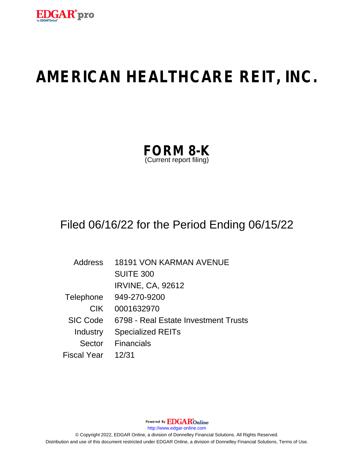

# **AMERICAN HEALTHCARE REIT, INC.**

| <b>FORM 8-K</b>         |  |
|-------------------------|--|
| (Current report filing) |  |

## Filed 06/16/22 for the Period Ending 06/15/22

| Address            | <b>18191 VON KARMAN AVENUE</b>       |
|--------------------|--------------------------------------|
|                    | <b>SUITE 300</b>                     |
|                    | <b>IRVINE, CA, 92612</b>             |
| Telephone          | 949-270-9200                         |
| <b>CIK</b>         | 0001632970                           |
| <b>SIC Code</b>    | 6798 - Real Estate Investment Trusts |
| Industry           | <b>Specialized REITs</b>             |
| Sector             | <b>Financials</b>                    |
| <b>Fiscal Year</b> | 12/31                                |

Powered By EDGAROnline http://www.edgar-online.com © Copyright 2022, EDGAR Online, a division of Donnelley Financial Solutions. All Rights Reserved. Distribution and use of this document restricted under EDGAR Online, a division of Donnelley Financial Solutions, Terms of Use.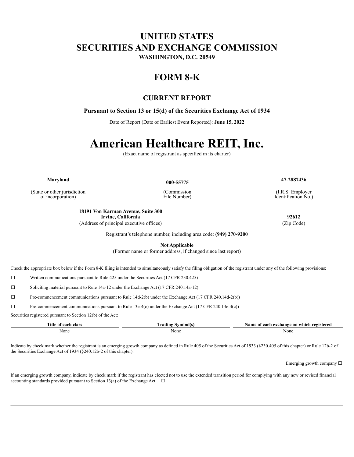### **UNITED STATES SECURITIES AND EXCHANGE COMMISSION**

WASHINGTON, D.C. 20549

### **FORM 8-K**

#### **CURRENT REPORT**

#### Pursuant to Section 13 or 15(d) of the Securities Exchange Act of 1934

Date of Report (Date of Earliest Event Reported): June 15, 2022

# **American Healthcare REIT, Inc.**

(Exact name of registrant as specified in its charter)

Maryland

(State or other jurisdiction of incorporation)

000-55775

(Commission File Number)

(I.R.S. Employer Identification No.)

47-2887436

18191 Von Karman Avenue, Suite 300 Irvine, California (Address of principal executive offices)

(Zip Code)

Registrant's telephone number, including area code: (949) 270-9200

**Not Applicable** 

(Former name or former address, if changed since last report)

Check the appropriate box below if the Form 8-K filing is intended to simultaneously satisfy the filing obligation of the registrant under any of the following provisions:

 $\Box$ Written communications pursuant to Rule 425 under the Securities Act (17 CFR 230.425)

 $\Box$ Soliciting material pursuant to Rule 14a-12 under the Exchange Act (17 CFR 240.14a-12)

 $\Box$ Pre-commencement communications pursuant to Rule 14d-2(b) under the Exchange Act (17 CFR 240.14d-2(b))

 $\Box$ Pre-commencement communications pursuant to Rule 13e-4(c) under the Exchange Act (17 CFR 240.13e-4(c))

Securities registered pursuant to Section 12(b) of the Act:

| Title of<br>. aach<br>∣ Class | Nymbol(s<br>Trading<br>the contract of the contract of the contract of | a exchange on which.<br>registered<br>Name of<br>each |
|-------------------------------|------------------------------------------------------------------------|-------------------------------------------------------|
| None                          | None                                                                   | None                                                  |

Indicate by check mark whether the registrant is an emerging growth company as defined in Rule 405 of the Securities Act of 1933 (§230.405 of this chapter) or Rule 12b-2 of the Securities Exchange Act of 1934 (§240.12b-2 of this chapter).

Emerging growth company  $\square$ 

If an emerging growth company, indicate by check mark if the registrant has elected not to use the extended transition period for complying with any new or revised financial accounting standards provided pursuant to Section 13(a) of the Exchange Act.  $\Box$ 

92612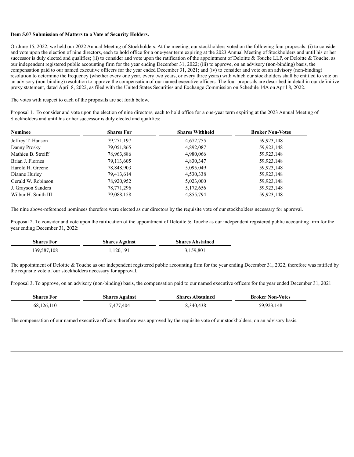#### **Item 5.07 Submission of Matters to a Vote of Security Holders.**

On June 15, 2022, we held our 2022 Annual Meeting of Stockholders. At the meeting, our stockholders voted on the following four proposals: (i) to consider and vote upon the election of nine directors, each to hold office for a one-year term expiring at the 2023 Annual Meeting of Stockholders and until his or her successor is duly elected and qualifies; (ii) to consider and vote upon the ratification of the appointment of Deloitte & Touche LLP, or Deloitte & Touche, as our independent registered public accounting firm for the year ending December 31, 2022; (iii) to approve, on an advisory (non-binding) basis, the compensation paid to our named executive officers for the year ended December 31, 2021; and (iv) to consider and vote on an advisory (non-binding) resolution to determine the frequency (whether every one year, every two years, or every three years) with which our stockholders shall be entitled to vote on an advisory (non-binding) resolution to approve the compensation of our named executive officers. The four proposals are described in detail in our definitive proxy statement, dated April 8, 2022, as filed with the United States Securities and Exchange Commission on Schedule 14A on April 8, 2022.

The votes with respect to each of the proposals are set forth below.

Proposal 1. To consider and vote upon the election of nine directors, each to hold office for a one-year term expiring at the 2023 Annual Meeting of Stockholders and until his or her successor is duly elected and qualifies:

| <b>Nominee</b>      | <b>Shares For</b> | <b>Shares Withheld</b> | <b>Broker Non-Votes</b> |
|---------------------|-------------------|------------------------|-------------------------|
| Jeffrey T. Hanson   | 79,271,197        | 4,672,755              | 59,923,148              |
| Danny Prosky        | 79,051,865        | 4,892,087              | 59,923,148              |
| Mathieu B. Streiff  | 78,963,886        | 4,980,066              | 59,923,148              |
| Brian J. Flornes    | 79,113,605        | 4,830,347              | 59,923,148              |
| Harold H. Greene    | 78,848,903        | 5,095,049              | 59,923,148              |
| Dianne Hurley       | 79,413,614        | 4,530,338              | 59,923,148              |
| Gerald W. Robinson  | 78,920,952        | 5,023,000              | 59,923,148              |
| J. Grayson Sanders  | 78,771,296        | 5,172,656              | 59,923,148              |
| Wilbur H. Smith III | 79,088,158        | 4,855,794              | 59,923,148              |

The nine above-referenced nominees therefore were elected as our directors by the requisite vote of our stockholders necessary for approval.

Proposal 2. To consider and vote upon the ratification of the appointment of Deloitte & Touche as our independent registered public accounting firm for the year ending December 31, 2022:

| <b>Shares For</b> | <b>Shares Against</b> | <b>Shares Abstained</b> |
|-------------------|-----------------------|-------------------------|
| 139,587,108       | .120,191              | 3,159,801               |

The appointment of Deloitte & Touche as our independent registered public accounting firm for the year ending December 31, 2022, therefore was ratified by the requisite vote of our stockholders necessary for approval.

Proposal 3. To approve, on an advisory (non-binding) basis, the compensation paid to our named executive officers for the year ended December 31, 2021:

| <b>Shares For</b> | <b>Shares Against</b> | <b>Shares Abstained</b> | <b>Broker Non-Votes</b> |
|-------------------|-----------------------|-------------------------|-------------------------|
| 68,126,110        | .477.404              | 8,340,438               | 59,923,148              |

The compensation of our named executive officers therefore was approved by the requisite vote of our stockholders, on an advisory basis.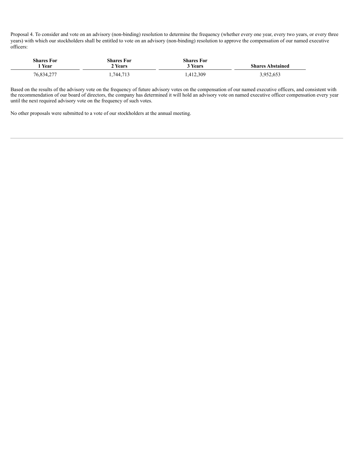Proposal 4. To consider and vote on an advisory (non-binding) resolution to determine the frequency (whether every one year, every two years, or every three years) with which our stockholders shall be entitled to vote on an advisory (non-binding) resolution to approve the compensation of our named executive officers:

| <b>Shares For</b> | <b>Shares For</b> | <b>Shares For</b>  | <b>Shares Abstained</b> |
|-------------------|-------------------|--------------------|-------------------------|
| Year              | 2 Years           | <sup>3</sup> Years |                         |
| 76,834,277        | .744,713          | .412,309           | 3,952,653               |

Based on the results of the advisory vote on the frequency of future advisory votes on the compensation of our named executive officers, and consistent with the recommendation of our board of directors, the company has determined it will hold an advisory vote on named executive officer compensation every year until the next required advisory vote on the frequency of such votes.

No other proposals were submitted to a vote of our stockholders at the annual meeting.